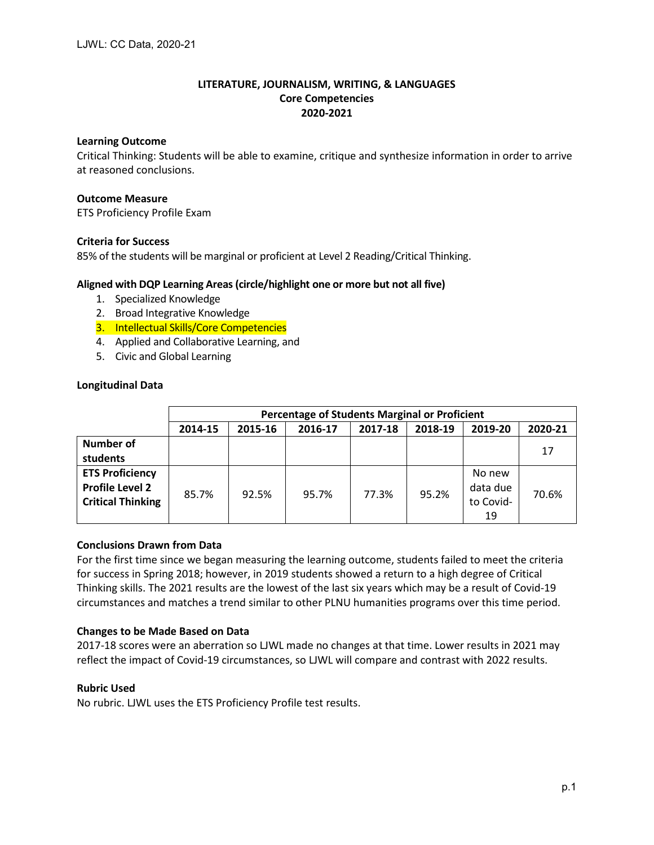## **LITERATURE, JOURNALISM, WRITING, & LANGUAGES Core Competencies 2020-2021**

## **Learning Outcome**

Critical Thinking: Students will be able to examine, critique and synthesize information in order to arrive at reasoned conclusions.

## **Outcome Measure**

ETS Proficiency Profile Exam

## **Criteria for Success**

85% of the students will be marginal or proficient at Level 2 Reading/Critical Thinking.

## **Aligned with DQP Learning Areas (circle/highlight one or more but not all five)**

- 1. Specialized Knowledge
- 2. Broad Integrative Knowledge
- 3. Intellectual Skills/Core Competencies
- 4. Applied and Collaborative Learning, and
- 5. Civic and Global Learning

## **Longitudinal Data**

|                                                                              | <b>Percentage of Students Marginal or Proficient</b> |         |         |         |         |                                       |         |  |  |
|------------------------------------------------------------------------------|------------------------------------------------------|---------|---------|---------|---------|---------------------------------------|---------|--|--|
|                                                                              | 2014-15                                              | 2015-16 | 2016-17 | 2017-18 | 2018-19 | 2019-20                               | 2020-21 |  |  |
| <b>Number of</b><br>students                                                 |                                                      |         |         |         |         |                                       | 17      |  |  |
| <b>ETS Proficiency</b><br><b>Profile Level 2</b><br><b>Critical Thinking</b> | 85.7%                                                | 92.5%   | 95.7%   | 77.3%   | 95.2%   | No new<br>data due<br>to Covid-<br>19 | 70.6%   |  |  |

# **Conclusions Drawn from Data**

For the first time since we began measuring the learning outcome, students failed to meet the criteria for success in Spring 2018; however, in 2019 students showed a return to a high degree of Critical Thinking skills. The 2021 results are the lowest of the last six years which may be a result of Covid-19 circumstances and matches a trend similar to other PLNU humanities programs over this time period.

#### **Changes to be Made Based on Data**

2017-18 scores were an aberration so LJWL made no changes at that time. Lower results in 2021 may reflect the impact of Covid-19 circumstances, so LJWL will compare and contrast with 2022 results.

### **Rubric Used**

No rubric. LJWL uses the ETS Proficiency Profile test results.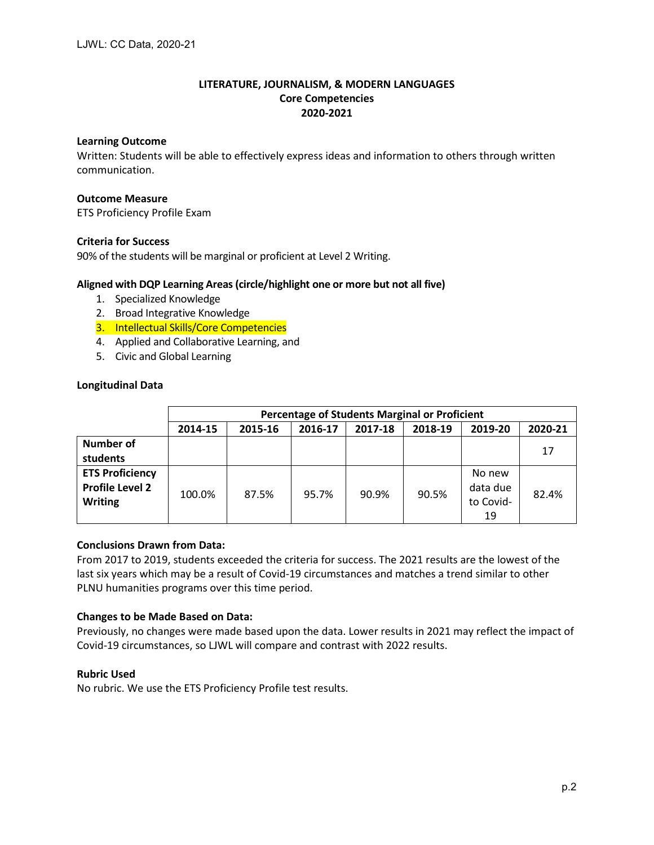## **Learning Outcome**

Written: Students will be able to effectively express ideas and information to others through written communication.

## **Outcome Measure**

ETS Proficiency Profile Exam

## **Criteria for Success**

90% of the students will be marginal or proficient at Level 2 Writing.

## **Aligned with DQP Learning Areas (circle/highlight one or more but not all five)**

- 1. Specialized Knowledge
- 2. Broad Integrative Knowledge
- 3. Intellectual Skills/Core Competencies
- 4. Applied and Collaborative Learning, and
- 5. Civic and Global Learning

## **Longitudinal Data**

|                                                                    | <b>Percentage of Students Marginal or Proficient</b> |         |         |         |         |                                       |         |  |  |
|--------------------------------------------------------------------|------------------------------------------------------|---------|---------|---------|---------|---------------------------------------|---------|--|--|
|                                                                    | 2014-15                                              | 2015-16 | 2016-17 | 2017-18 | 2018-19 | 2019-20                               | 2020-21 |  |  |
| Number of<br>students                                              |                                                      |         |         |         |         |                                       | 17      |  |  |
| <b>ETS Proficiency</b><br><b>Profile Level 2</b><br><b>Writing</b> | 100.0%                                               | 87.5%   | 95.7%   | 90.9%   | 90.5%   | No new<br>data due<br>to Covid-<br>19 | 82.4%   |  |  |

# **Conclusions Drawn from Data:**

From 2017 to 2019, students exceeded the criteria for success. The 2021 results are the lowest of the last six years which may be a result of Covid-19 circumstances and matches a trend similar to other PLNU humanities programs over this time period.

#### **Changes to be Made Based on Data:**

Previously, no changes were made based upon the data. Lower results in 2021 may reflect the impact of Covid-19 circumstances, so LJWL will compare and contrast with 2022 results.

#### **Rubric Used**

No rubric. We use the ETS Proficiency Profile test results.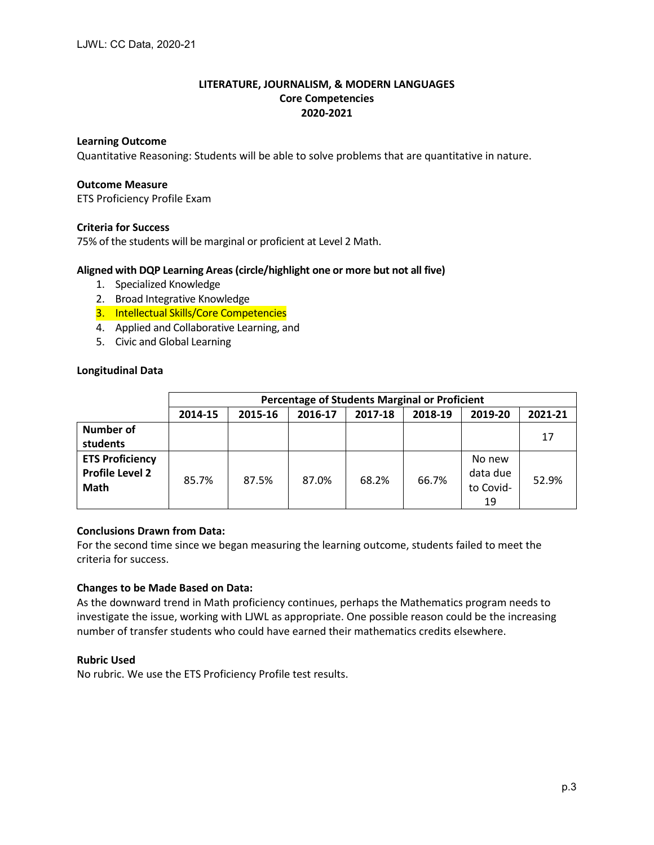## **Learning Outcome**

Quantitative Reasoning: Students will be able to solve problems that are quantitative in nature.

### **Outcome Measure**

ETS Proficiency Profile Exam

## **Criteria for Success**

75% of the students will be marginal or proficient at Level 2 Math.

## **Aligned with DQP Learning Areas (circle/highlight one or more but not all five)**

- 1. Specialized Knowledge
- 2. Broad Integrative Knowledge
- 3. Intellectual Skills/Core Competencies
- 4. Applied and Collaborative Learning, and
- 5. Civic and Global Learning

## **Longitudinal Data**

|                                                          | Percentage of Students Marginal or Proficient |         |         |         |         |                                       |         |  |  |
|----------------------------------------------------------|-----------------------------------------------|---------|---------|---------|---------|---------------------------------------|---------|--|--|
|                                                          | 2014-15                                       | 2015-16 | 2016-17 | 2017-18 | 2018-19 | 2019-20                               | 2021-21 |  |  |
| Number of<br>students                                    |                                               |         |         |         |         |                                       | 17      |  |  |
| <b>ETS Proficiency</b><br><b>Profile Level 2</b><br>Math | 85.7%                                         | 87.5%   | 87.0%   | 68.2%   | 66.7%   | No new<br>data due<br>to Covid-<br>19 | 52.9%   |  |  |

## **Conclusions Drawn from Data:**

For the second time since we began measuring the learning outcome, students failed to meet the criteria for success.

#### **Changes to be Made Based on Data:**

As the downward trend in Math proficiency continues, perhaps the Mathematics program needs to investigate the issue, working with LJWL as appropriate. One possible reason could be the increasing number of transfer students who could have earned their mathematics credits elsewhere.

#### **Rubric Used**

No rubric. We use the ETS Proficiency Profile test results.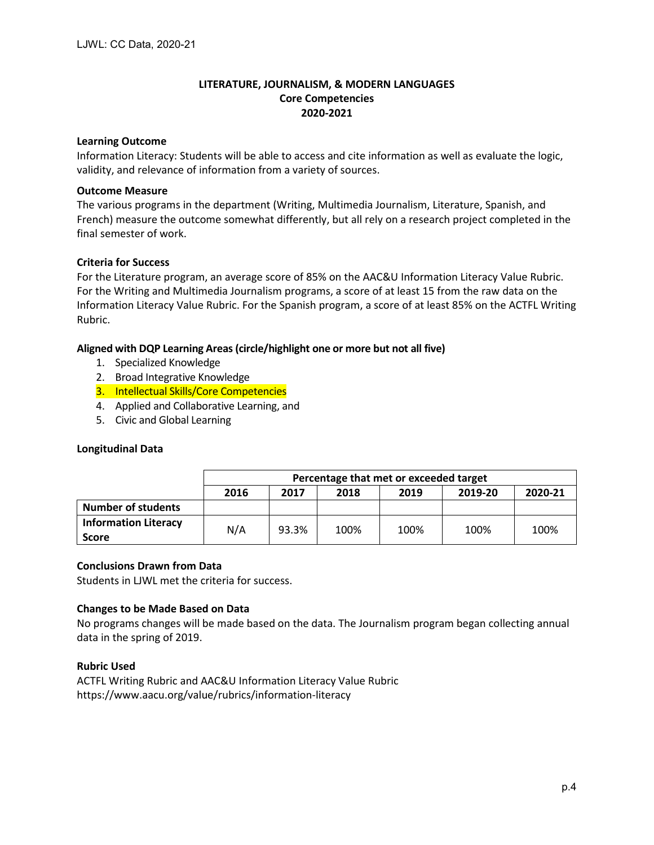## **Learning Outcome**

Information Literacy: Students will be able to access and cite information as well as evaluate the logic, validity, and relevance of information from a variety of sources.

## **Outcome Measure**

The various programs in the department (Writing, Multimedia Journalism, Literature, Spanish, and French) measure the outcome somewhat differently, but all rely on a research project completed in the final semester of work.

## **Criteria for Success**

For the Literature program, an average score of 85% on the AAC&U Information Literacy Value Rubric. For the Writing and Multimedia Journalism programs, a score of at least 15 from the raw data on the Information Literacy Value Rubric. For the Spanish program, a score of at least 85% on the ACTFL Writing Rubric.

## **Aligned with DQP Learning Areas (circle/highlight one or more but not all five)**

- 1. Specialized Knowledge
- 2. Broad Integrative Knowledge
- 3. Intellectual Skills/Core Competencies
- 4. Applied and Collaborative Learning, and
- 5. Civic and Global Learning

### **Longitudinal Data**

|                                             | Percentage that met or exceeded target             |       |      |      |      |      |  |  |  |
|---------------------------------------------|----------------------------------------------------|-------|------|------|------|------|--|--|--|
|                                             | 2020-21<br>2019-20<br>2018<br>2017<br>2016<br>2019 |       |      |      |      |      |  |  |  |
| <b>Number of students</b>                   |                                                    |       |      |      |      |      |  |  |  |
| <b>Information Literacy</b><br><b>Score</b> | N/A                                                | 93.3% | 100% | 100% | 100% | 100% |  |  |  |

#### **Conclusions Drawn from Data**

Students in LJWL met the criteria for success.

#### **Changes to be Made Based on Data**

No programs changes will be made based on the data. The Journalism program began collecting annual data in the spring of 2019.

#### **Rubric Used**

ACTFL Writing Rubric and AAC&U Information Literacy Value Rubric https://www.aacu.org/value/rubrics/information-literacy